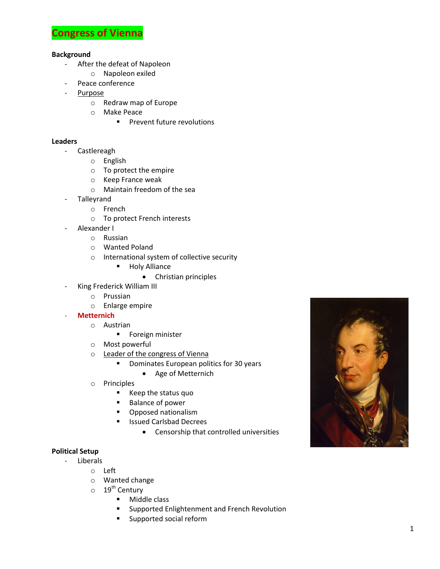

## **Background**

- After the defeat of Napoleon
	- o Napoleon exiled
	- Peace conference
- Purpose
	- o Redraw map of Europe
	- o Make Peace
		- **Prevent future revolutions**

## **Leaders**

- Castlereagh
	- o English
		- o To protect the empire
		- o Keep France weak
		- o Maintain freedom of the sea
	- **Talleyrand** 
		- o French
		- o To protect French interests
- Alexander I
	- o Russian
	- o Wanted Poland
	- o International system of collective security
		- **Holy Alliance** 
			- Christian principles
- King Frederick William III
	- o Prussian
	- o Enlarge empire
- **Metternich**
	- o Austrian
		- **Foreign minister**
	- o Most powerful
	- o Leader of the congress of Vienna
		- **•** Dominates European politics for 30 years
			- Age of Metternich
	- o Principles
		- Keep the status quo
		- Balance of power
		- **•** Opposed nationalism
		- **In Itsued Carlsbad Decrees** 
			- Censorship that controlled universities

## **Political Setup**

- Liberals
	- o Left
		- o Wanted change
		- $\circ$  19<sup>th</sup> Century
			- **Middle class**
			- **EXECUTE:** Supported Enlightenment and French Revolution
			- **Supported social reform**

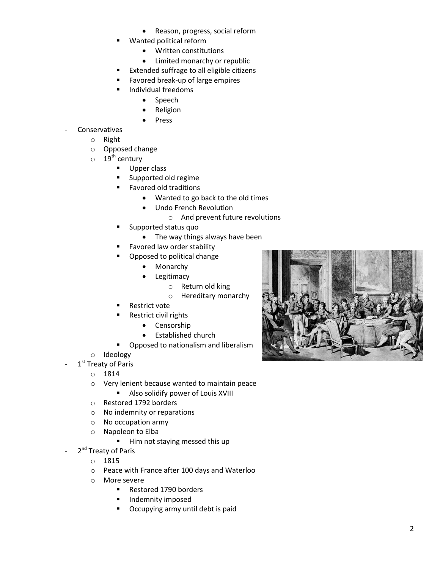- Reason, progress, social reform
- Wanted political reform
	- Written constitutions
	- Limited monarchy or republic
- Extended suffrage to all eligible citizens
- Favored break-up of large empires
- Individual freedoms
	- Speech
	- Religion
	- Press

## **Conservatives**

- o Right
	- o Opposed change
	- $\circ$  19<sup>th</sup> century
		- **Upper class**
		- **Supported old regime**
		- **Favored old traditions** 
			- Wanted to go back to the old times
			- Undo French Revolution
				- o And prevent future revolutions
		- Supported status quo
			- The way things always have been
		- Favored law order stability
		- Opposed to political change
			- Monarchy
			- Legitimacy
				- o Return old king
				- o Hereditary monarchy
		- Restrict vote
		- Restrict civil rights
			- Censorship
			- **•** Established church
		- **•** Opposed to nationalism and liberalism
- o Ideology
- 1<sup>st</sup> Treaty of Paris
	- o 1814
	- o Very lenient because wanted to maintain peace
		- **Also solidify power of Louis XVIII**
	- o Restored 1792 borders
	- o No indemnity or reparations
	- o No occupation army
	- o Napoleon to Elba
		- Him not staying messed this up
- 2<sup>nd</sup> Treaty of Paris
	- o 1815
	- o Peace with France after 100 days and Waterloo
	- o More severe
		- Restored 1790 borders
		- **Indemnity imposed**
		- **•** Occupying army until debt is paid